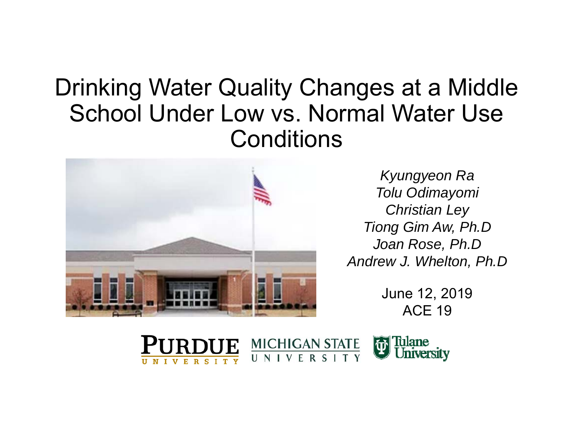## Drinking Water Quality Changes at a Middle School Under Low vs. Normal Water Use **Conditions**



*Kyungyeon Ra Tolu Odimayomi Christian Ley Tiong Gim Aw, Ph.D Joan Rose, Ph.D Andrew J. Whelton, Ph.D*

> June 12, 2019 ACE 19

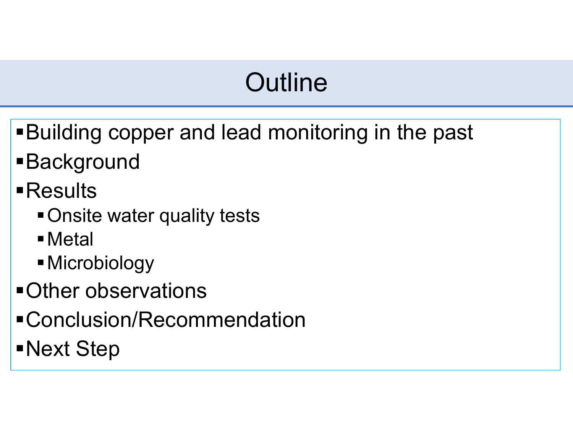# **Outline**

- Building copper and lead monitoring in the past
- Background
- Results
	- Onsite water quality tests
	- Metal
	- Microbiology
- Other observations
- Conclusion/Recommendation
- Next Step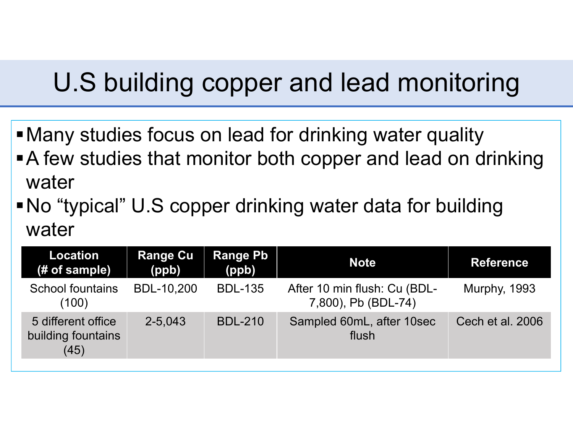# U.S building copper and lead monitoring

- Many studies focus on lead for drinking water quality
- A few studies that monitor both copper and lead on drinking water
- No "typical" U.S copper drinking water data for building water

| <b>Location</b><br>(# of sample)                 | <b>Range Cu</b><br>(ppb) | <b>Range Pb</b><br>(ppb) | <b>Note</b>                                         | <b>Reference</b>    |
|--------------------------------------------------|--------------------------|--------------------------|-----------------------------------------------------|---------------------|
| <b>School fountains</b><br>(100)                 | <b>BDL-10,200</b>        | <b>BDL-135</b>           | After 10 min flush: Cu (BDL-<br>7,800), Pb (BDL-74) | <b>Murphy, 1993</b> |
| 5 different office<br>building fountains<br>(45) | 2-5,043                  | <b>BDL-210</b>           | Sampled 60mL, after 10sec<br>flush                  | Cech et al. 2006    |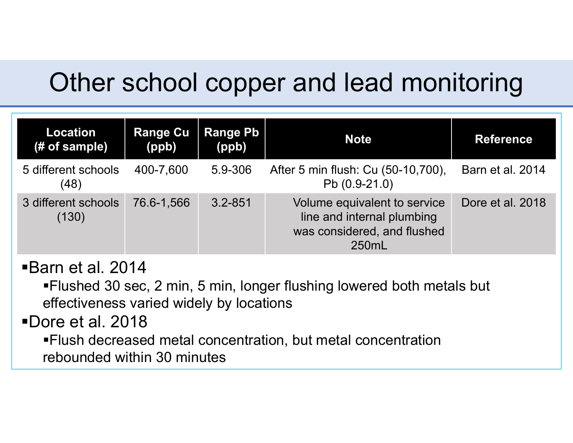# Other school copper and lead monitoring

| <b>Location</b><br>(# of sample) | <b>Range Cu</b><br>(ppb) | <b>Range Pb</b><br>(ppb) | <b>Note</b>                                                                                        | <b>Reference</b> |
|----------------------------------|--------------------------|--------------------------|----------------------------------------------------------------------------------------------------|------------------|
| 5 different schools<br>(48)      | 400-7,600                | 5.9-306                  | After 5 min flush: Cu (50-10,700),<br>Pb (0.9-21.0)                                                | Barn et al. 2014 |
| 3 different schools<br>(130)     | 76.6-1.566               | $3.2 - 851$              | Volume equivalent to service<br>line and internal plumbing<br>was considered, and flushed<br>250mL | Dore et al. 2018 |

### Barn et al. 2014

Flushed 30 sec, 2 min, 5 min, longer flushing lowered both metals but effectiveness varied widely by locations

Dore et al. 2018

Flush decreased metal concentration, but metal concentration rebounded within 30 minutes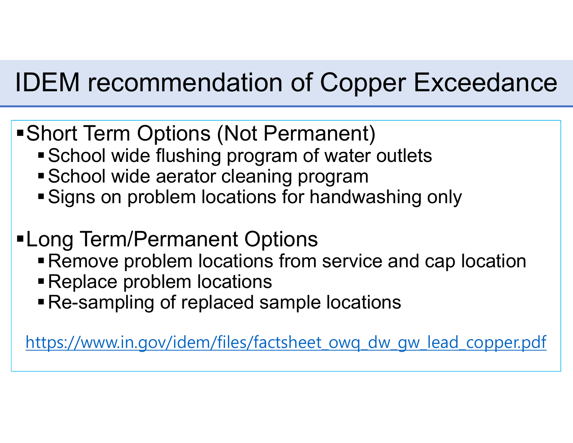# IDEM recommendation of Copper Exceedance

- Short Term Options (Not Permanent)
	- School wide flushing program of water outlets
	- School wide aerator cleaning program
	- Signs on problem locations for handwashing only
- Long Term/Permanent Options
	- Remove problem locations from service and cap location
	- Replace problem locations
	- Re-sampling of replaced sample locations

https://www.in.gov/idem/files/factsheet\_owq\_dw\_gw\_lead\_copper.pdf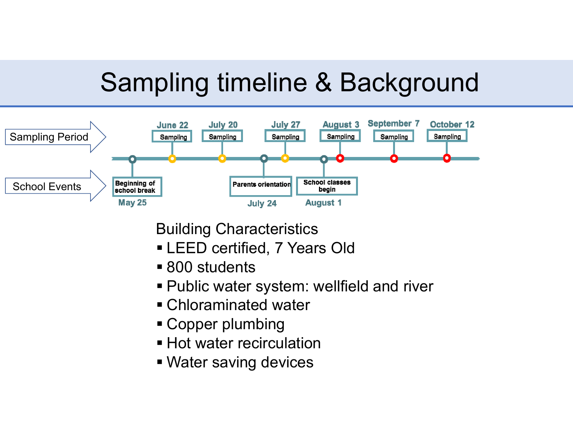# Sampling timeline & Background



Building Characteristics

- LEED certified, 7 Years Old
- 800 students
- Public water system: wellfield and river
- Chloraminated water
- Copper plumbing
- **Hot water recirculation**
- Water saving devices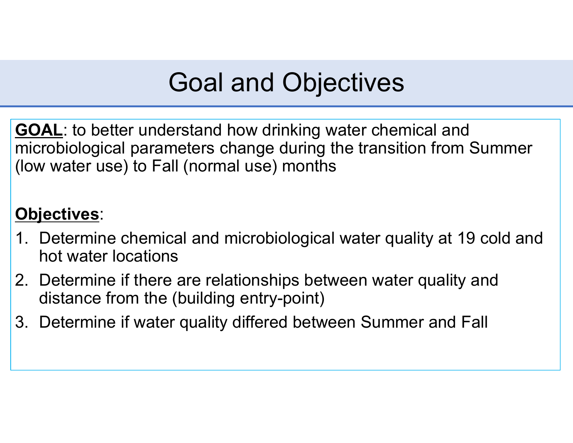# Goal and Objectives

**GOAL**: to better understand how drinking water chemical and microbiological parameters change during the transition from Summer (low water use) to Fall (normal use) months

### **Objectives**:

- 1. Determine chemical and microbiological water quality at 19 cold and hot water locations
- 2. Determine if there are relationships between water quality and distance from the (building entry-point)
- 3. Determine if water quality differed between Summer and Fall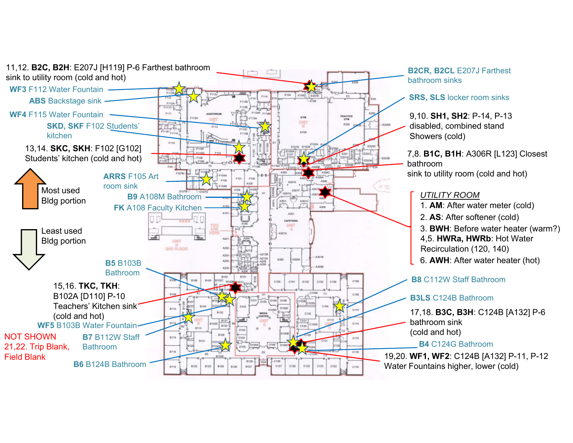

**B2CR, B2CL** E207J Farthest bathroom sinks

#### **SRS, SLS** locker room sinks

9,10. **SH1, SH2**: P-14, P-13 disabled, combined stand Showers (cold)

7,8. **B1C, B1H**: A306R [L123] Closest bathroomsink to utility room (cold and hot)

#### *UTILITY ROOM*

1. **AM**: After water meter (cold) 2. **AS**: After softener (cold) 3. **BWH**: Before water heater (warm?) 6. **AWH**: After water heater (hot) 4,5. **HWRa, HWRb**: Hot Water Recirculation (120, 140)

**B8** C112W Staff Bathroom

#### **B3LS** C124B Bathroom

17,18. **B3C, B3H**: C124B [A132] P-6 bathroom sink

#### **B4** C124G Bathroom

19,20. **WF1, WF2**: C124B [A132] P-11, P-12 Water Fountains higher, lower (cold)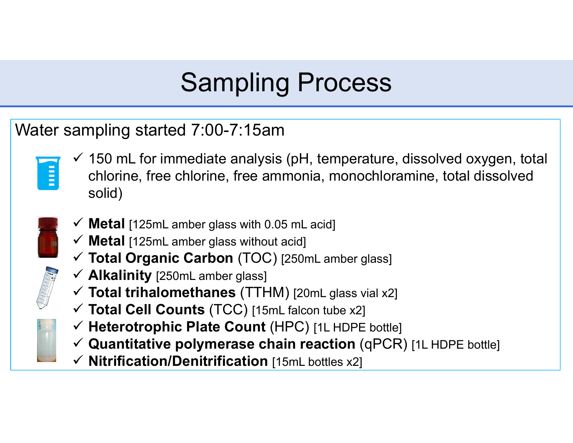# Sampling Process

### Water sampling started 7:00-7:15am



- $\checkmark$  150 mL for immediate analysis (pH, temperature, dissolved oxygen, total chlorine, free chlorine, free ammonia, monochloramine, total dissolved solid)
- 
- **Metal** [125mL amber glass with 0.05 mL acid]
- **Metal** [125mL amber glass without acid]
- **Total Organic Carbon** (TOC) [250mL amber glass]
- **Alkalinity** [250mL amber glass]
- **Total trihalomethanes** (TTHM) [20mL glass vial x2]
- **Total Cell Counts** (TCC) [15mL falcon tube x2]
- **Heterotrophic Plate Count** (HPC) [1L HDPE bottle]
- **Quantitative polymerase chain reaction** (qPCR) [1L HDPE bottle]
- **Nitrification/Denitrification** [15mL bottles x2]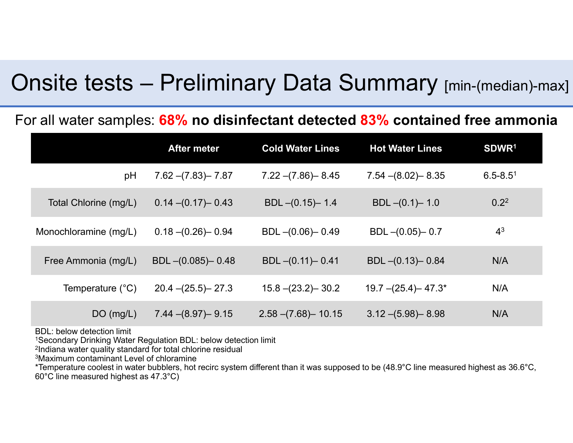### Onsite tests – Preliminary Data Summary [min-(median)-max]

#### For all water samples: **68% no disinfectant detected 83% contained free ammonia**

|                           | <b>After meter</b>     | <b>Cold Water Lines</b> | <b>Hot Water Lines</b>  | SDWR <sup>1</sup> |
|---------------------------|------------------------|-------------------------|-------------------------|-------------------|
| pH                        | $7.62 - (7.83) - 7.87$ | $7.22 - (7.86) - 8.45$  | $7.54 - (8.02) - 8.35$  | $6.5 - 8.51$      |
| Total Chlorine (mg/L)     | $0.14 - (0.17) - 0.43$ | $BDL - (0.15) - 1.4$    | $BDL - (0.1) - 1.0$     | 0.2 <sup>2</sup>  |
| Monochloramine (mg/L)     | $0.18 - (0.26) - 0.94$ | $BDL - (0.06) - 0.49$   | $BDL - (0.05) - 0.7$    | 4 <sup>3</sup>    |
| Free Ammonia (mg/L)       | $BDL - (0.085) - 0.48$ | $BDL - (0.11) - 0.41$   | $BDL - (0.13) - 0.84$   | N/A               |
| Temperature $(^{\circ}C)$ | $20.4 - (25.5) - 27.3$ | $15.8 - (23.2) - 30.2$  | $19.7 - (25.4) - 47.3*$ | N/A               |
| DO(mg/L)                  | $7.44 - (8.97) - 9.15$ | $2.58 - (7.68) - 10.15$ | $3.12 - (5.98) - 8.98$  | N/A               |

BDL: below detection limit

1Secondary Drinking Water Regulation BDL: below detection limit

2Indiana water quality standard for total chlorine residual

3Maximum contaminant Level of chloramine

\*Temperature coolest in water bubblers, hot recirc system different than it was supposed to be (48.9°C line measured highest as 36.6°C, 60°C line measured highest as 47.3°C)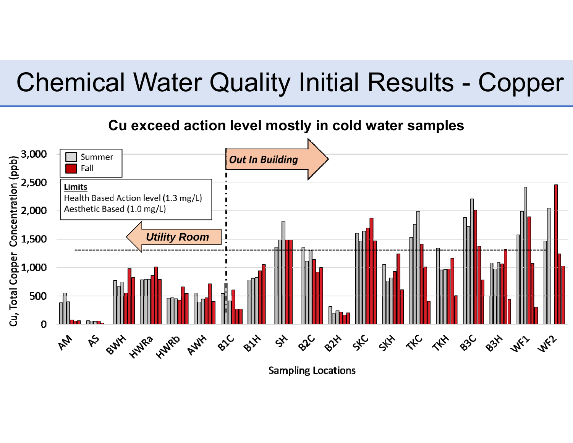# Chemical Water Quality Initial Results - Copper



**Sampling Locations**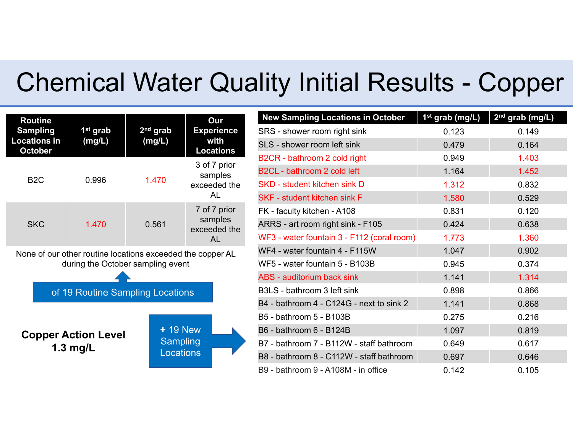# Chemical Water Quality Initial Results - Copper

| <b>Routine</b><br><b>Sampling</b><br><b>Locations in</b><br><b>October</b>                                                          | 1 <sup>st</sup> grab<br>(mg/L)           | 2 <sup>nd</sup> grab<br>(mg/L)            | Our<br><b>Experience</b><br>with<br><b>Locations</b> |  |  |
|-------------------------------------------------------------------------------------------------------------------------------------|------------------------------------------|-------------------------------------------|------------------------------------------------------|--|--|
| B2C                                                                                                                                 | 0.996                                    | 1.470                                     | 3 of 7 prior<br>samples<br>exceeded the<br>AL        |  |  |
| <b>SKC</b>                                                                                                                          | 1.470                                    | 0.561                                     | 7 of 7 prior<br>samples<br>exceeded the<br>AL        |  |  |
| None of our other routine locations exceeded the copper AL<br>during the October sampling event<br>of 19 Routine Sampling Locations |                                          |                                           |                                                      |  |  |
|                                                                                                                                     |                                          |                                           |                                                      |  |  |
|                                                                                                                                     | <b>Copper Action Level</b><br>1.3 $mg/L$ | $+19$ New<br>Sampling<br><b>Locations</b> |                                                      |  |  |

| <b>New Sampling Locations in October</b>   | 1 <sup>st</sup> grab (mg/L) | 2 <sup>nd</sup> grab (mg/L) |
|--------------------------------------------|-----------------------------|-----------------------------|
| SRS - shower room right sink               | 0.123                       | 0.149                       |
| SLS - shower room left sink                | 0.479                       | 0.164                       |
| B2CR - bathroom 2 cold right               | 0.949                       | 1.403                       |
| B2CL - bathroom 2 cold left                | 1.164                       | 1.452                       |
| <b>SKD</b> - student kitchen sink D        | 1.312                       | 0.832                       |
| <b>SKF - student kitchen sink F</b>        | 1.580                       | 0.529                       |
| FK - faculty kitchen - A108                | 0.831                       | 0.120                       |
| ARRS - art room right sink - F105          | 0.424                       | 0.638                       |
| WF3 - water fountain 3 - F112 (coral room) | 1.773                       | 1.360                       |
| WF4 - water fountain 4 - F115W             | 1.047                       | 0.902                       |
| WF5 - water fountain 5 - B103B             | 0.945                       | 0.374                       |
| <b>ABS</b> - auditorium back sink          | 1.141                       | 1.314                       |
| B3LS - bathroom 3 left sink                | 0.898                       | 0.866                       |
| B4 - bathroom 4 - C124G - next to sink 2   | 1.141                       | 0.868                       |
| B5 - bathroom 5 - B103B                    | 0.275                       | 0.216                       |
| B6 - bathroom 6 - B124B                    | 1.097                       | 0.819                       |
| B7 - bathroom 7 - B112W - staff bathroom   | 0.649                       | 0.617                       |
| B8 - bathroom 8 - C112W - staff bathroom   | 0.697                       | 0.646                       |
| B9 - bathroom 9 - A108M - in office        | 0.142                       | 0.105                       |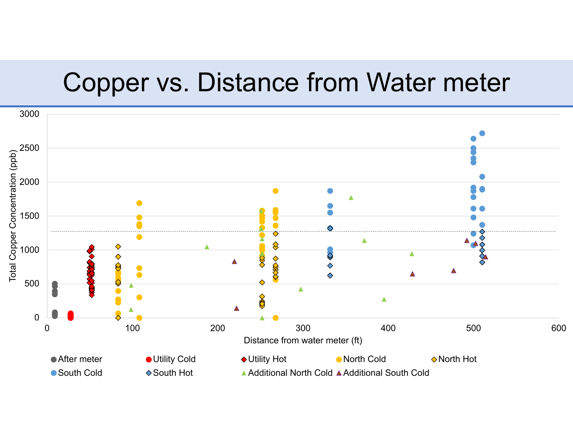## Copper vs. Distance from Water meter

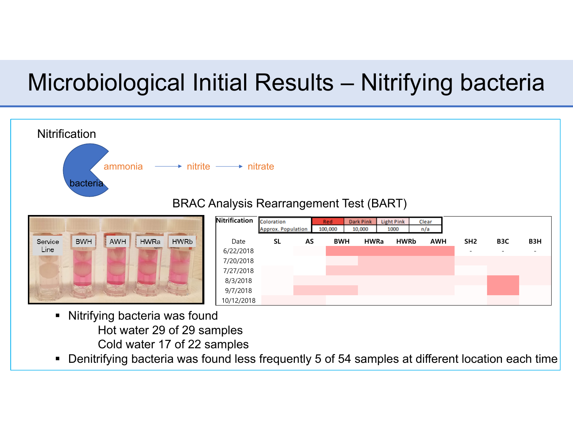# Microbiological Initial Results – Nitrifying bacteria



- Cold water 17 of 22 samples
- Denitrifying bacteria was found less frequently 5 of 54 samples at different location each time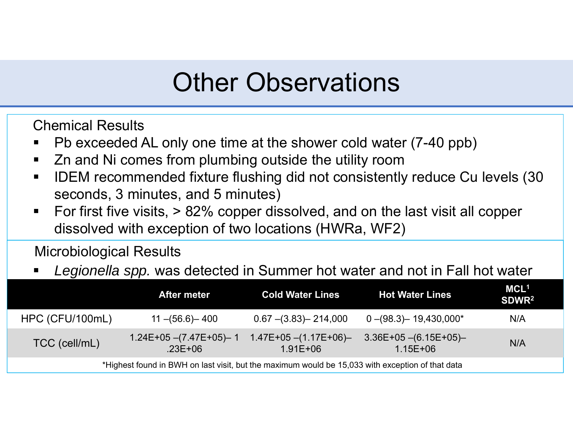# Other Observations

Chemical Results

- ■ Pb exceeded AL only one time at the shower cold water (7-40 ppb)
- $\mathcal{L}_{\mathcal{A}}$ Zn and Ni comes from plumbing outside the utility room
- $\blacksquare$  IDEM recommended fixture flushing did not consistently reduce Cu levels (30 seconds, 3 minutes, and 5 minutes)
- $\blacksquare$  For first five visits, > 82% copper dissolved, and on the last visit all copper dissolved with exception of two locations (HWRa, WF2)

Microbiological Results

٠ *Legionella spp.* was detected in Summer hot water and not in Fall hot water

|                                                                                                  | After meter                                | <b>Cold Water Lines</b>                 | <b>Hot Water Lines</b>                   | MCL <sup>1</sup><br>SDWR <sup>2</sup> |  |
|--------------------------------------------------------------------------------------------------|--------------------------------------------|-----------------------------------------|------------------------------------------|---------------------------------------|--|
| HPC (CFU/100mL)                                                                                  | $11 - (56.6) - 400$                        | $0.67$ –(3.83)– 214,000                 | $0 - (98.3) - 19,430,000*$               | N/A                                   |  |
| TCC (cell/mL)                                                                                    | $1.24E+05 - (7.47E+05) - 1$<br>$.23E + 06$ | $1.47E+05 - (1.17E+06)$<br>$1.91E + 06$ | $3.36E+05$ $-(6.15E+05)$<br>$1.15E + 06$ | N/A                                   |  |
| *Highest found in BWH on last visit, but the maximum would be 15,033 with exception of that data |                                            |                                         |                                          |                                       |  |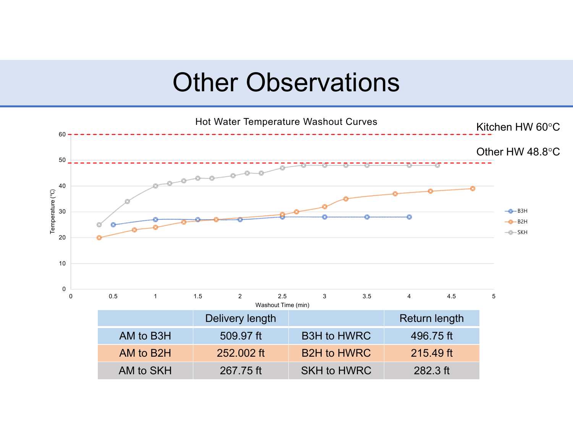## Other Observations

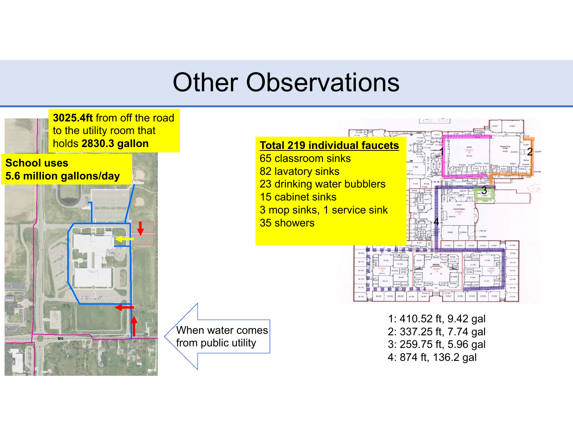# Other Observations

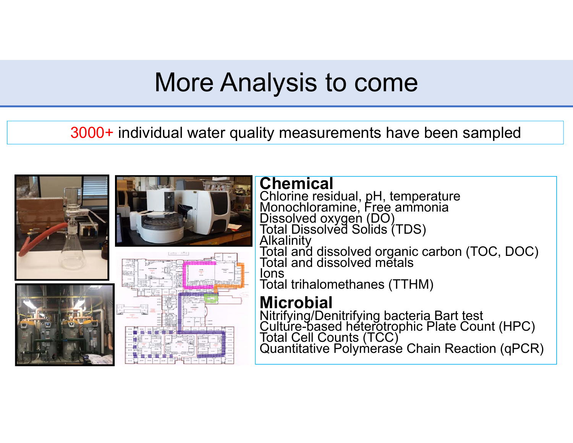# More Analysis to come

3000+ individual water quality measurements have been sampled

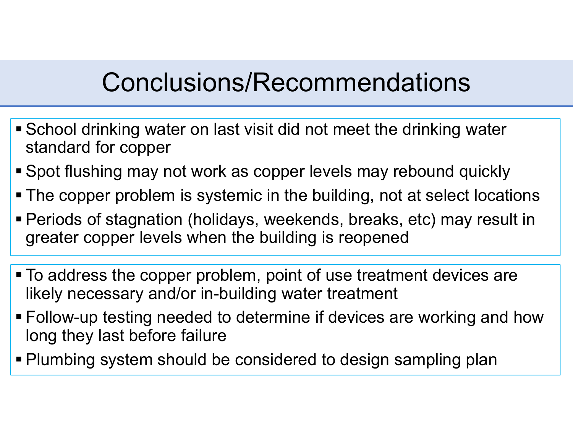# Conclusions/Recommendations

- School drinking water on last visit did not meet the drinking water standard for copper
- Spot flushing may not work as copper levels may rebound quickly
- The copper problem is systemic in the building, not at select locations
- Periods of stagnation (holidays, weekends, breaks, etc) may result in greater copper levels when the building is reopened
- To address the copper problem, point of use treatment devices are likely necessary and/or in-building water treatment
- Follow-up testing needed to determine if devices are working and how long they last before failure
- Plumbing system should be considered to design sampling plan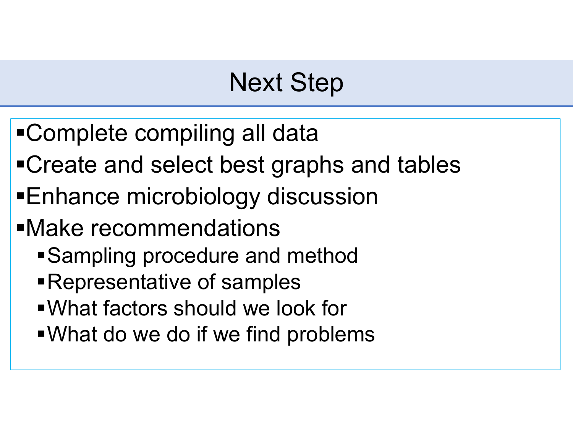# Next Step

- Complete compiling all data
- Create and select best graphs and tables
- Enhance microbiology discussion
- Make recommendations
	- Sampling procedure and method
	- Representative of samples
	- What factors should we look for
	- What do we do if we find problems